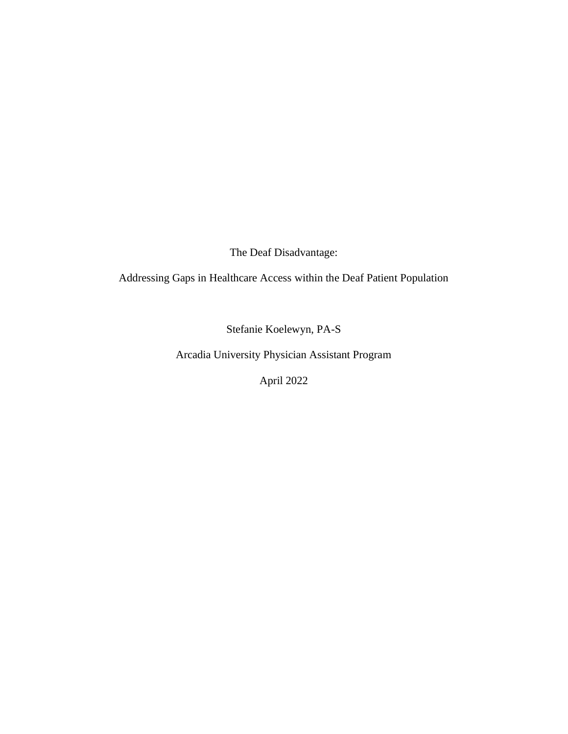The Deaf Disadvantage:

Addressing Gaps in Healthcare Access within the Deaf Patient Population

Stefanie Koelewyn, PA-S

Arcadia University Physician Assistant Program

April 2022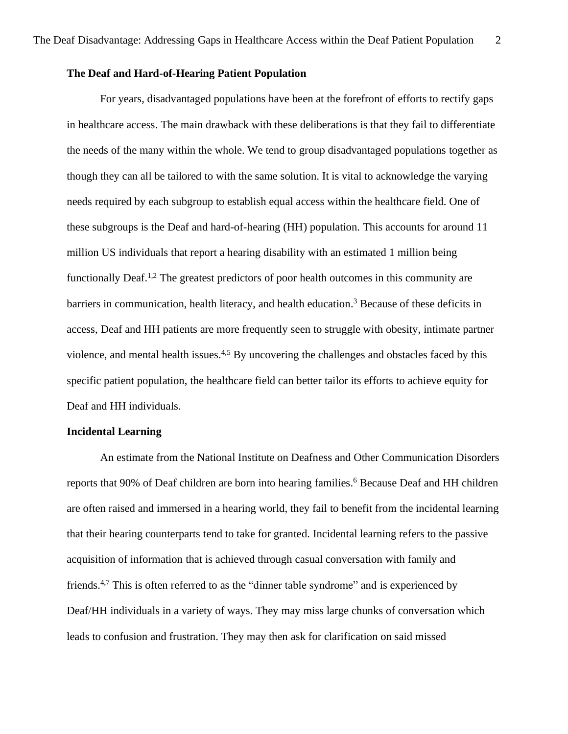# **The Deaf and Hard-of-Hearing Patient Population**

For years, disadvantaged populations have been at the forefront of efforts to rectify gaps in healthcare access. The main drawback with these deliberations is that they fail to differentiate the needs of the many within the whole. We tend to group disadvantaged populations together as though they can all be tailored to with the same solution. It is vital to acknowledge the varying needs required by each subgroup to establish equal access within the healthcare field. One of these subgroups is the Deaf and hard-of-hearing (HH) population. This accounts for around 11 million US individuals that report a hearing disability with an estimated 1 million being functionally Deaf.<sup>1,2</sup> The greatest predictors of poor health outcomes in this community are barriers in communication, health literacy, and health education.<sup>3</sup> Because of these deficits in access, Deaf and HH patients are more frequently seen to struggle with obesity, intimate partner violence, and mental health issues.<sup>4,5</sup> By uncovering the challenges and obstacles faced by this specific patient population, the healthcare field can better tailor its efforts to achieve equity for Deaf and HH individuals.

# **Incidental Learning**

An estimate from the National Institute on Deafness and Other Communication Disorders reports that 90% of Deaf children are born into hearing families. <sup>6</sup> Because Deaf and HH children are often raised and immersed in a hearing world, they fail to benefit from the incidental learning that their hearing counterparts tend to take for granted. Incidental learning refers to the passive acquisition of information that is achieved through casual conversation with family and friends.<sup>4,7</sup> This is often referred to as the "dinner table syndrome" and is experienced by Deaf/HH individuals in a variety of ways. They may miss large chunks of conversation which leads to confusion and frustration. They may then ask for clarification on said missed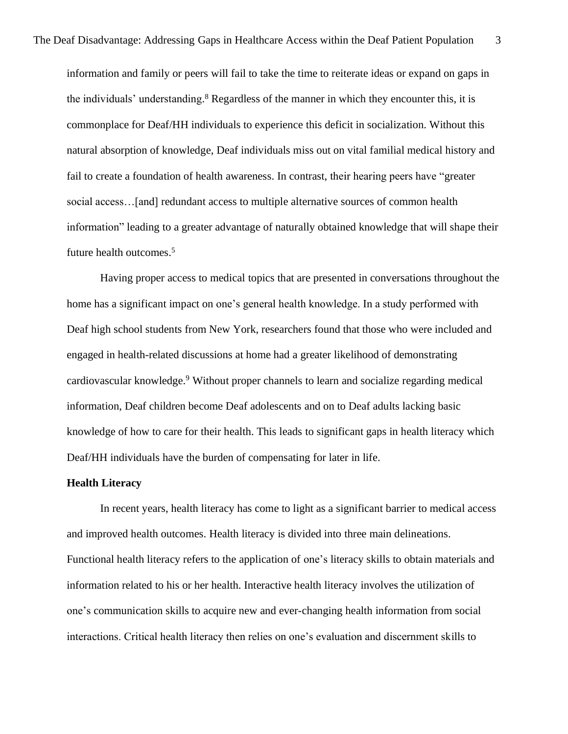information and family or peers will fail to take the time to reiterate ideas or expand on gaps in the individuals' understanding. <sup>8</sup> Regardless of the manner in which they encounter this, it is commonplace for Deaf/HH individuals to experience this deficit in socialization. Without this natural absorption of knowledge, Deaf individuals miss out on vital familial medical history and fail to create a foundation of health awareness. In contrast, their hearing peers have "greater social access…[and] redundant access to multiple alternative sources of common health information" leading to a greater advantage of naturally obtained knowledge that will shape their future health outcomes. 5

Having proper access to medical topics that are presented in conversations throughout the home has a significant impact on one's general health knowledge. In a study performed with Deaf high school students from New York, researchers found that those who were included and engaged in health-related discussions at home had a greater likelihood of demonstrating cardiovascular knowledge. <sup>9</sup> Without proper channels to learn and socialize regarding medical information, Deaf children become Deaf adolescents and on to Deaf adults lacking basic knowledge of how to care for their health. This leads to significant gaps in health literacy which Deaf/HH individuals have the burden of compensating for later in life.

#### **Health Literacy**

In recent years, health literacy has come to light as a significant barrier to medical access and improved health outcomes. Health literacy is divided into three main delineations. Functional health literacy refers to the application of one's literacy skills to obtain materials and information related to his or her health. Interactive health literacy involves the utilization of one's communication skills to acquire new and ever-changing health information from social interactions. Critical health literacy then relies on one's evaluation and discernment skills to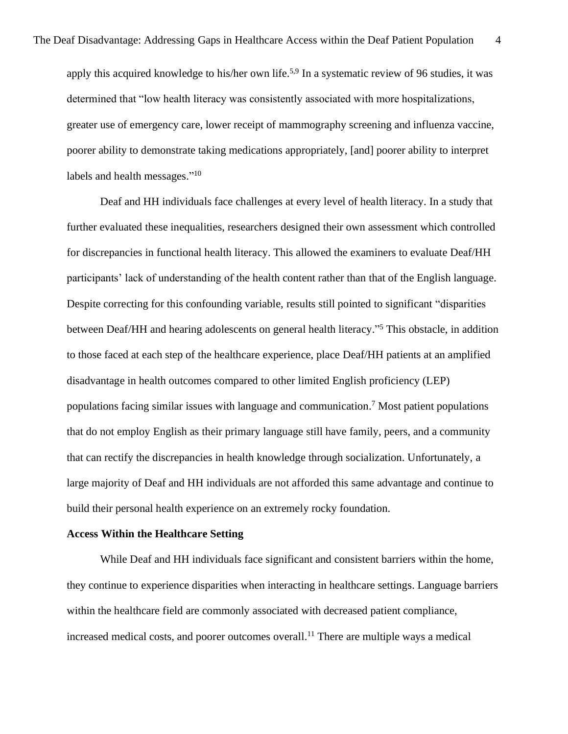apply this acquired knowledge to his/her own life.<sup>5,9</sup> In a systematic review of 96 studies, it was determined that "low health literacy was consistently associated with more hospitalizations, greater use of emergency care, lower receipt of mammography screening and influenza vaccine, poorer ability to demonstrate taking medications appropriately, [and] poorer ability to interpret labels and health messages."<sup>10</sup>

Deaf and HH individuals face challenges at every level of health literacy. In a study that further evaluated these inequalities, researchers designed their own assessment which controlled for discrepancies in functional health literacy. This allowed the examiners to evaluate Deaf/HH participants' lack of understanding of the health content rather than that of the English language. Despite correcting for this confounding variable, results still pointed to significant "disparities between Deaf/HH and hearing adolescents on general health literacy."<sup>5</sup> This obstacle, in addition to those faced at each step of the healthcare experience, place Deaf/HH patients at an amplified disadvantage in health outcomes compared to other limited English proficiency (LEP) populations facing similar issues with language and communication. <sup>7</sup> Most patient populations that do not employ English as their primary language still have family, peers, and a community that can rectify the discrepancies in health knowledge through socialization. Unfortunately, a large majority of Deaf and HH individuals are not afforded this same advantage and continue to build their personal health experience on an extremely rocky foundation.

# **Access Within the Healthcare Setting**

While Deaf and HH individuals face significant and consistent barriers within the home, they continue to experience disparities when interacting in healthcare settings. Language barriers within the healthcare field are commonly associated with decreased patient compliance, increased medical costs, and poorer outcomes overall. <sup>11</sup> There are multiple ways a medical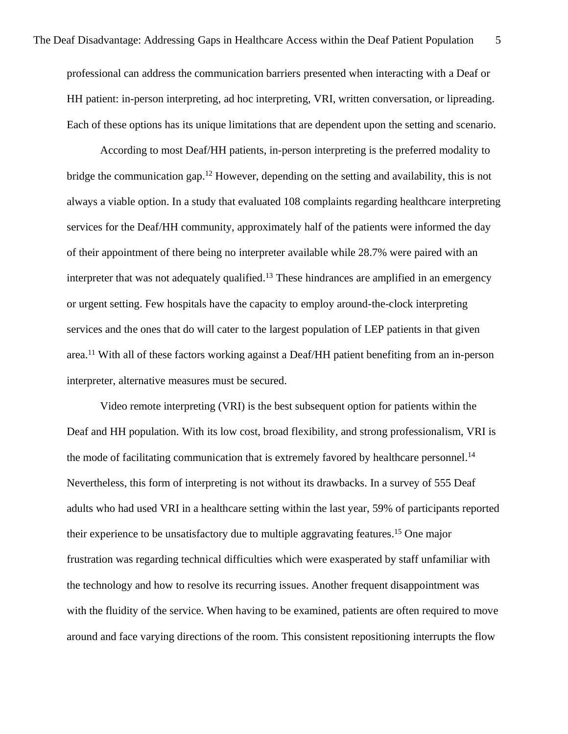professional can address the communication barriers presented when interacting with a Deaf or HH patient: in-person interpreting, ad hoc interpreting, VRI, written conversation, or lipreading. Each of these options has its unique limitations that are dependent upon the setting and scenario.

According to most Deaf/HH patients, in-person interpreting is the preferred modality to bridge the communication gap. <sup>12</sup> However, depending on the setting and availability, this is not always a viable option. In a study that evaluated 108 complaints regarding healthcare interpreting services for the Deaf/HH community, approximately half of the patients were informed the day of their appointment of there being no interpreter available while 28.7% were paired with an interpreter that was not adequately qualified.<sup>13</sup> These hindrances are amplified in an emergency or urgent setting. Few hospitals have the capacity to employ around-the-clock interpreting services and the ones that do will cater to the largest population of LEP patients in that given area.<sup>11</sup> With all of these factors working against a Deaf/HH patient benefiting from an in-person interpreter, alternative measures must be secured.

Video remote interpreting (VRI) is the best subsequent option for patients within the Deaf and HH population. With its low cost, broad flexibility, and strong professionalism, VRI is the mode of facilitating communication that is extremely favored by healthcare personnel.<sup>14</sup> Nevertheless, this form of interpreting is not without its drawbacks. In a survey of 555 Deaf adults who had used VRI in a healthcare setting within the last year, 59% of participants reported their experience to be unsatisfactory due to multiple aggravating features. <sup>15</sup> One major frustration was regarding technical difficulties which were exasperated by staff unfamiliar with the technology and how to resolve its recurring issues. Another frequent disappointment was with the fluidity of the service. When having to be examined, patients are often required to move around and face varying directions of the room. This consistent repositioning interrupts the flow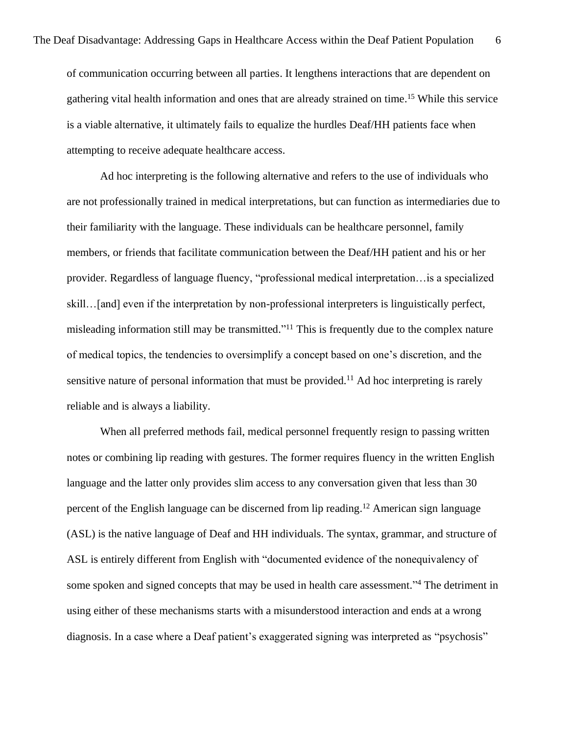of communication occurring between all parties. It lengthens interactions that are dependent on gathering vital health information and ones that are already strained on time. <sup>15</sup> While this service is a viable alternative, it ultimately fails to equalize the hurdles Deaf/HH patients face when attempting to receive adequate healthcare access.

Ad hoc interpreting is the following alternative and refers to the use of individuals who are not professionally trained in medical interpretations, but can function as intermediaries due to their familiarity with the language. These individuals can be healthcare personnel, family members, or friends that facilitate communication between the Deaf/HH patient and his or her provider. Regardless of language fluency, "professional medical interpretation…is a specialized skill…[and] even if the interpretation by non-professional interpreters is linguistically perfect, misleading information still may be transmitted."<sup>11</sup> This is frequently due to the complex nature of medical topics, the tendencies to oversimplify a concept based on one's discretion, and the sensitive nature of personal information that must be provided.<sup>11</sup> Ad hoc interpreting is rarely reliable and is always a liability.

When all preferred methods fail, medical personnel frequently resign to passing written notes or combining lip reading with gestures. The former requires fluency in the written English language and the latter only provides slim access to any conversation given that less than 30 percent of the English language can be discerned from lip reading. <sup>12</sup> American sign language (ASL) is the native language of Deaf and HH individuals. The syntax, grammar, and structure of ASL is entirely different from English with "documented evidence of the nonequivalency of some spoken and signed concepts that may be used in health care assessment."<sup>4</sup> The detriment in using either of these mechanisms starts with a misunderstood interaction and ends at a wrong diagnosis. In a case where a Deaf patient's exaggerated signing was interpreted as "psychosis"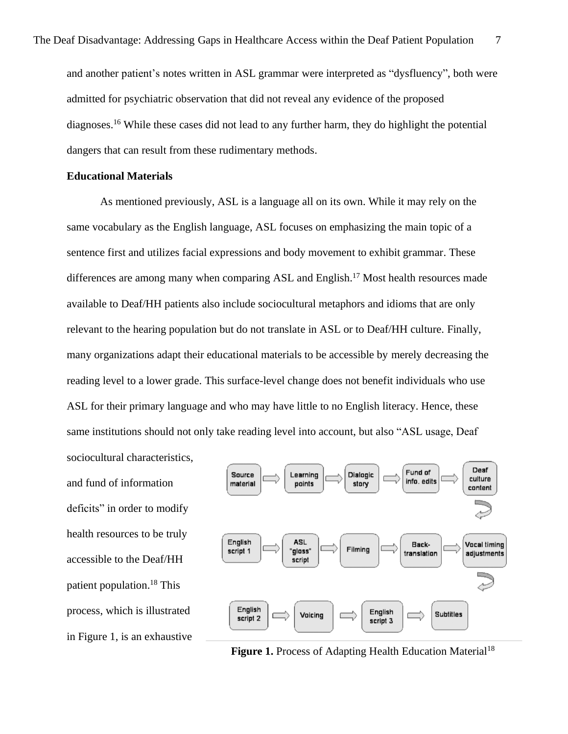and another patient's notes written in ASL grammar were interpreted as "dysfluency", both were admitted for psychiatric observation that did not reveal any evidence of the proposed diagnoses. <sup>16</sup> While these cases did not lead to any further harm, they do highlight the potential dangers that can result from these rudimentary methods.

#### **Educational Materials**

As mentioned previously, ASL is a language all on its own. While it may rely on the same vocabulary as the English language, ASL focuses on emphasizing the main topic of a sentence first and utilizes facial expressions and body movement to exhibit grammar. These differences are among many when comparing ASL and English.<sup>17</sup> Most health resources made available to Deaf/HH patients also include sociocultural metaphors and idioms that are only relevant to the hearing population but do not translate in ASL or to Deaf/HH culture. Finally, many organizations adapt their educational materials to be accessible by merely decreasing the reading level to a lower grade. This surface-level change does not benefit individuals who use ASL for their primary language and who may have little to no English literacy. Hence, these same institutions should not only take reading level into account, but also "ASL usage, Deaf

and fund of information deficits" in order to modify health resources to be truly accessible to the Deaf/HH patient population. <sup>18</sup> This process, which is illustrated in Figure 1, is an exhaustive

sociocultural characteristics,



**Figure 1.** Process of Adapting Health Education Material<sup>18</sup>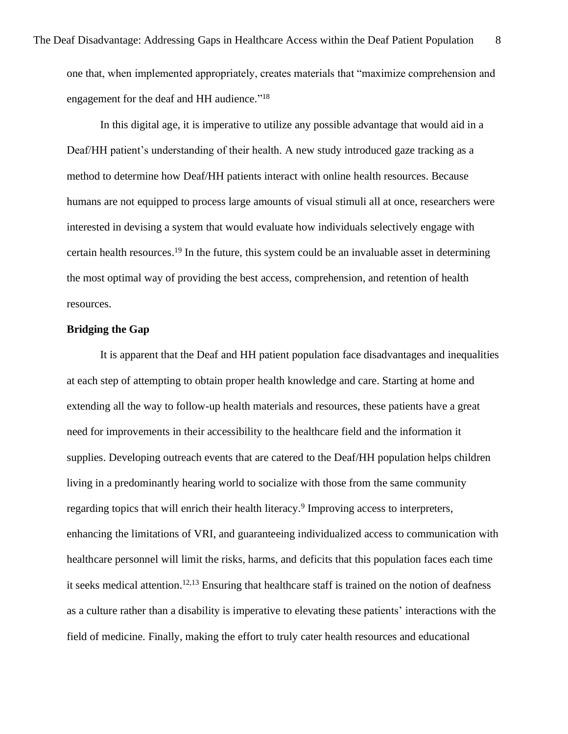In this digital age, it is imperative to utilize any possible advantage that would aid in a Deaf/HH patient's understanding of their health. A new study introduced gaze tracking as a method to determine how Deaf/HH patients interact with online health resources. Because humans are not equipped to process large amounts of visual stimuli all at once, researchers were interested in devising a system that would evaluate how individuals selectively engage with certain health resources. <sup>19</sup> In the future, this system could be an invaluable asset in determining the most optimal way of providing the best access, comprehension, and retention of health resources.

# **Bridging the Gap**

It is apparent that the Deaf and HH patient population face disadvantages and inequalities at each step of attempting to obtain proper health knowledge and care. Starting at home and extending all the way to follow-up health materials and resources, these patients have a great need for improvements in their accessibility to the healthcare field and the information it supplies. Developing outreach events that are catered to the Deaf/HH population helps children living in a predominantly hearing world to socialize with those from the same community regarding topics that will enrich their health literacy.<sup>9</sup> Improving access to interpreters, enhancing the limitations of VRI, and guaranteeing individualized access to communication with healthcare personnel will limit the risks, harms, and deficits that this population faces each time it seeks medical attention. 12,13 Ensuring that healthcare staff is trained on the notion of deafness as a culture rather than a disability is imperative to elevating these patients' interactions with the field of medicine. Finally, making the effort to truly cater health resources and educational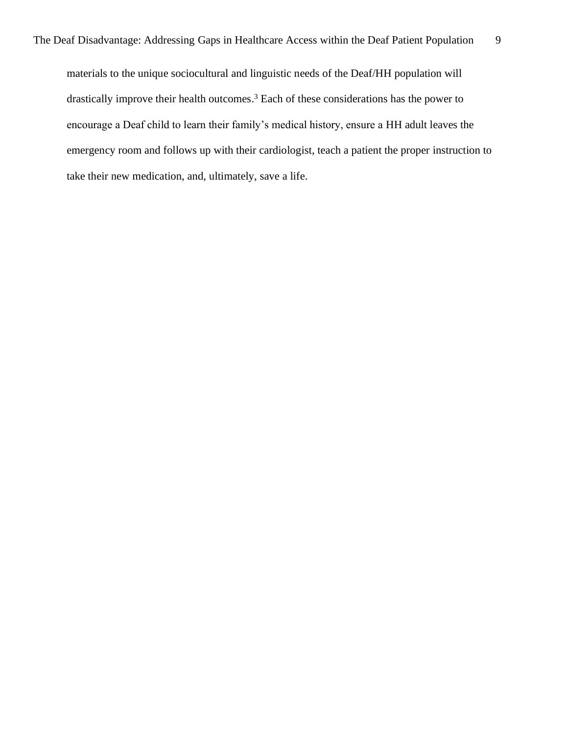materials to the unique sociocultural and linguistic needs of the Deaf/HH population will drastically improve their health outcomes. <sup>3</sup> Each of these considerations has the power to encourage a Deaf child to learn their family's medical history, ensure a HH adult leaves the emergency room and follows up with their cardiologist, teach a patient the proper instruction to take their new medication, and, ultimately, save a life.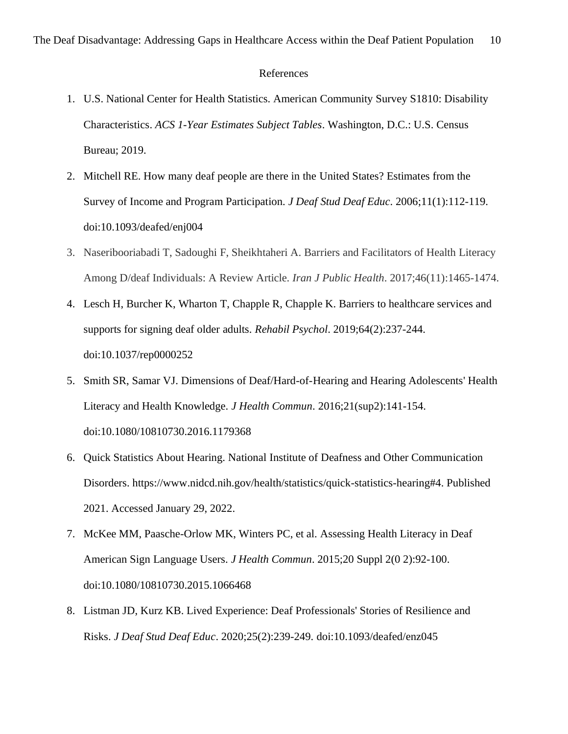#### References

- 1. U.S. National Center for Health Statistics. American Community Survey S1810: Disability Characteristics. *ACS 1-Year Estimates Subject Tables*. Washington, D.C.: U.S. Census Bureau; 2019.
- 2. Mitchell RE. How many deaf people are there in the United States? Estimates from the Survey of Income and Program Participation. *J Deaf Stud Deaf Educ*. 2006;11(1):112-119. doi:10.1093/deafed/enj004
- 3. Naseribooriabadi T, Sadoughi F, Sheikhtaheri A. Barriers and Facilitators of Health Literacy Among D/deaf Individuals: A Review Article. *Iran J Public Health*. 2017;46(11):1465-1474.
- 4. Lesch H, Burcher K, Wharton T, Chapple R, Chapple K. Barriers to healthcare services and supports for signing deaf older adults. *Rehabil Psychol*. 2019;64(2):237-244. doi:10.1037/rep0000252
- 5. Smith SR, Samar VJ. Dimensions of Deaf/Hard-of-Hearing and Hearing Adolescents' Health Literacy and Health Knowledge. *J Health Commun*. 2016;21(sup2):141-154. doi:10.1080/10810730.2016.1179368
- 6. Quick Statistics About Hearing. National Institute of Deafness and Other Communication Disorders. https://www.nidcd.nih.gov/health/statistics/quick-statistics-hearing#4. Published 2021. Accessed January 29, 2022.
- 7. McKee MM, Paasche-Orlow MK, Winters PC, et al. Assessing Health Literacy in Deaf American Sign Language Users. *J Health Commun*. 2015;20 Suppl 2(0 2):92-100. doi:10.1080/10810730.2015.1066468
- 8. Listman JD, Kurz KB. Lived Experience: Deaf Professionals' Stories of Resilience and Risks. *J Deaf Stud Deaf Educ*. 2020;25(2):239-249. doi:10.1093/deafed/enz045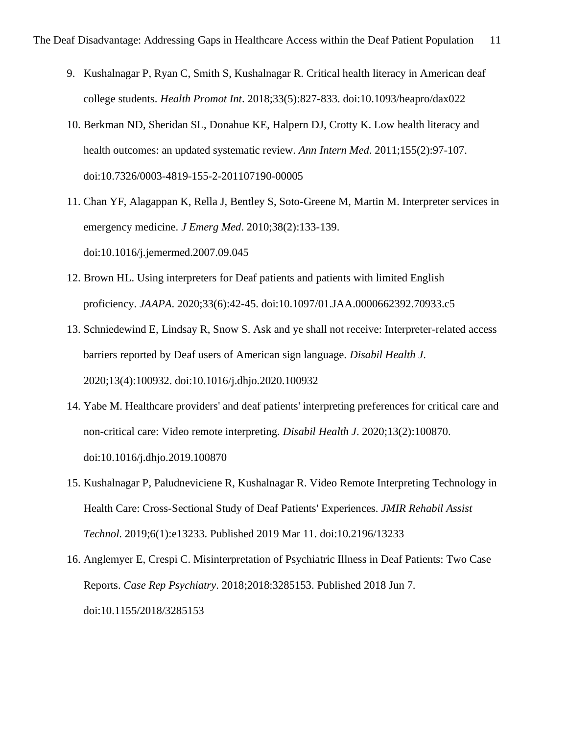- 9. Kushalnagar P, Ryan C, Smith S, Kushalnagar R. Critical health literacy in American deaf college students. *Health Promot Int*. 2018;33(5):827-833. doi:10.1093/heapro/dax022
- 10. Berkman ND, Sheridan SL, Donahue KE, Halpern DJ, Crotty K. Low health literacy and health outcomes: an updated systematic review. *Ann Intern Med*. 2011;155(2):97-107. doi:10.7326/0003-4819-155-2-201107190-00005
- 11. Chan YF, Alagappan K, Rella J, Bentley S, Soto-Greene M, Martin M. Interpreter services in emergency medicine. *J Emerg Med*. 2010;38(2):133-139. doi:10.1016/j.jemermed.2007.09.045
- 12. Brown HL. Using interpreters for Deaf patients and patients with limited English proficiency. *JAAPA*. 2020;33(6):42-45. doi:10.1097/01.JAA.0000662392.70933.c5
- 13. Schniedewind E, Lindsay R, Snow S. Ask and ye shall not receive: Interpreter-related access barriers reported by Deaf users of American sign language. *Disabil Health J*. 2020;13(4):100932. doi:10.1016/j.dhjo.2020.100932
- 14. Yabe M. Healthcare providers' and deaf patients' interpreting preferences for critical care and non-critical care: Video remote interpreting. *Disabil Health J*. 2020;13(2):100870. doi:10.1016/j.dhjo.2019.100870
- 15. Kushalnagar P, Paludneviciene R, Kushalnagar R. Video Remote Interpreting Technology in Health Care: Cross-Sectional Study of Deaf Patients' Experiences. *JMIR Rehabil Assist Technol*. 2019;6(1):e13233. Published 2019 Mar 11. doi:10.2196/13233
- 16. Anglemyer E, Crespi C. Misinterpretation of Psychiatric Illness in Deaf Patients: Two Case Reports. *Case Rep Psychiatry*. 2018;2018:3285153. Published 2018 Jun 7. doi:10.1155/2018/3285153